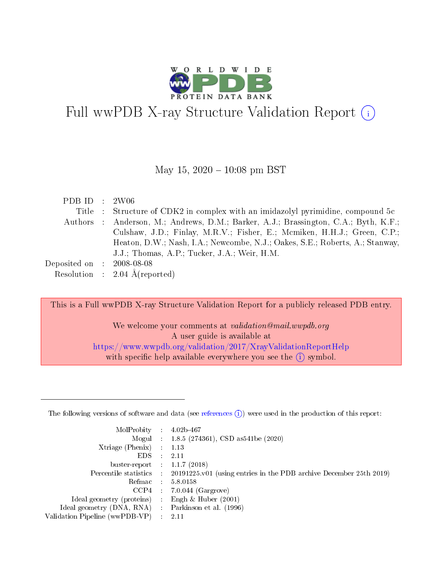

# Full wwPDB X-ray Structure Validation Report (i)

#### May 15,  $2020 - 10:08$  pm BST

| PDB ID : $2W06$                      |                                                                                     |
|--------------------------------------|-------------------------------------------------------------------------------------|
|                                      | Title : Structure of CDK2 in complex with an imidazolyl pyrimidine, compound 5c     |
|                                      | Authors : Anderson, M.; Andrews, D.M.; Barker, A.J.; Brassington, C.A.; Byth, K.F.; |
|                                      | Culshaw, J.D.; Finlay, M.R.V.; Fisher, E.; Mcmiken, H.H.J.; Green, C.P.;            |
|                                      | Heaton, D.W.; Nash, I.A.; Newcombe, N.J.; Oakes, S.E.; Roberts, A.; Stanway,        |
|                                      | J.J.; Thomas, A.P.; Tucker, J.A.; Weir, H.M.                                        |
| Deposited on $\therefore$ 2008-08-08 |                                                                                     |
|                                      | Resolution : $2.04 \text{ Å}$ (reported)                                            |

This is a Full wwPDB X-ray Structure Validation Report for a publicly released PDB entry.

We welcome your comments at *validation@mail.wwpdb.org* A user guide is available at <https://www.wwpdb.org/validation/2017/XrayValidationReportHelp> with specific help available everywhere you see the  $(i)$  symbol.

The following versions of software and data (see [references](https://www.wwpdb.org/validation/2017/XrayValidationReportHelp#references)  $(1)$ ) were used in the production of this report:

| MolProbity :                   |               | $4.02b - 467$                                                               |
|--------------------------------|---------------|-----------------------------------------------------------------------------|
|                                |               | Mogul : $1.8.5$ (274361), CSD as 541be (2020)                               |
| Xtriage (Phenix)               | $\mathcal{L}$ | 1.13                                                                        |
| EDS.                           |               | 2.11                                                                        |
| buster-report : $1.1.7$ (2018) |               |                                                                             |
| Percentile statistics :        |               | $20191225 \text{v}01$ (using entries in the PDB archive December 25th 2019) |
| Refmac :                       |               | 5.8.0158                                                                    |
| CCP4                           |               | $7.0.044$ (Gargrove)                                                        |
| Ideal geometry (proteins) :    |               | Engh & Huber $(2001)$                                                       |
| Ideal geometry (DNA, RNA) :    |               | Parkinson et al. (1996)                                                     |
| Validation Pipeline (wwPDB-VP) | ÷             | 2.11                                                                        |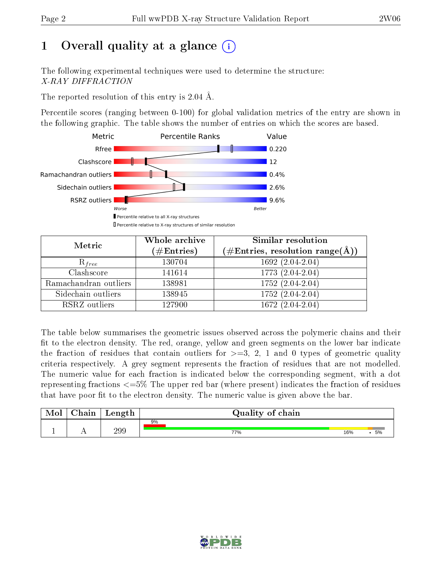# 1 [O](https://www.wwpdb.org/validation/2017/XrayValidationReportHelp#overall_quality)verall quality at a glance  $(i)$

The following experimental techniques were used to determine the structure: X-RAY DIFFRACTION

The reported resolution of this entry is 2.04 Å.

Percentile scores (ranging between 0-100) for global validation metrics of the entry are shown in the following graphic. The table shows the number of entries on which the scores are based.



| Metric                | Whole archive<br>$(\#\text{Entries})$ | <b>Similar resolution</b><br>$(\#\text{Entries},\,\text{resolution}\,\,\text{range}(\textup{\AA}))$ |  |  |
|-----------------------|---------------------------------------|-----------------------------------------------------------------------------------------------------|--|--|
| $R_{free}$            | 130704                                | 1692 (2.04-2.04)                                                                                    |  |  |
| Clashscore            | 141614                                | 1773 (2.04-2.04)                                                                                    |  |  |
| Ramachandran outliers | 138981                                | $1752(2.04-2.04)$                                                                                   |  |  |
| Sidechain outliers    | 138945                                | 1752 (2.04-2.04)                                                                                    |  |  |
| RSRZ outliers         | 127900                                | $1672(2.04-2.04)$                                                                                   |  |  |

The table below summarises the geometric issues observed across the polymeric chains and their fit to the electron density. The red, orange, yellow and green segments on the lower bar indicate the fraction of residues that contain outliers for  $>=3, 2, 1$  and 0 types of geometric quality criteria respectively. A grey segment represents the fraction of residues that are not modelled. The numeric value for each fraction is indicated below the corresponding segment, with a dot representing fractions <=5% The upper red bar (where present) indicates the fraction of residues that have poor fit to the electron density. The numeric value is given above the bar.

| Mol | $\cap$ hain | Length | Quality of chain |     |    |
|-----|-------------|--------|------------------|-----|----|
|     |             |        | 9%               |     |    |
| л.  | . .         | 299    | 77%              | 16% | 5% |

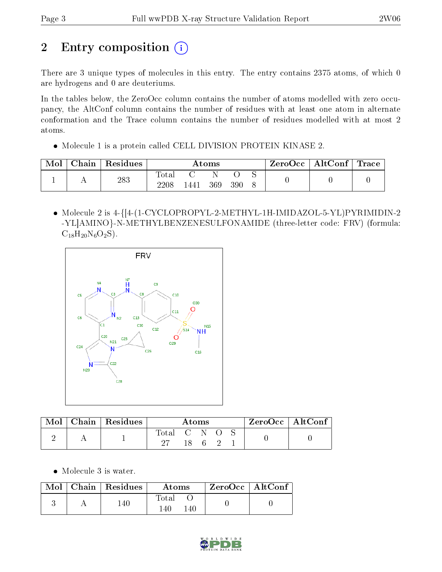# 2 Entry composition (i)

There are 3 unique types of molecules in this entry. The entry contains 2375 atoms, of which 0 are hydrogens and 0 are deuteriums.

In the tables below, the ZeroOcc column contains the number of atoms modelled with zero occupancy, the AltConf column contains the number of residues with at least one atom in alternate conformation and the Trace column contains the number of residues modelled with at most 2 atoms.

Molecule 1 is a protein called CELL DIVISION PROTEIN KINASE 2.

| Mol | Chain | ' Residues | Atoms        |     |     | $\rm{ZeroOcc}$   $\rm{AltConf}$   $\rm{Trace}$ |  |  |  |
|-----|-------|------------|--------------|-----|-----|------------------------------------------------|--|--|--|
|     |       | 283        | <b>Total</b> |     |     |                                                |  |  |  |
|     |       | 2208       | 1441         | 369 | 390 |                                                |  |  |  |

 Molecule 2 is 4-{[4-(1-CYCLOPROPYL-2-METHYL-1H-IMIDAZOL-5-YL)PYRIMIDIN-2 -YL]AMINO}-N-METHYLBENZENESULFONAMIDE (three-letter code: FRV) (formula:  $C_{18}H_{20}N_6O_2S$ ).



| Mol |  | Chain   Residues | Atoms       |      |  | $ZeroOcc \   \ AltConf \  $ |  |
|-----|--|------------------|-------------|------|--|-----------------------------|--|
|     |  |                  | Total C N O |      |  |                             |  |
|     |  |                  |             | 18 6 |  |                             |  |

• Molecule 3 is water.

|  | Mol   Chain   Residues | Atoms         | ZeroOcc   AltConf |  |
|--|------------------------|---------------|-------------------|--|
|  | 140.                   | Total<br>140. |                   |  |

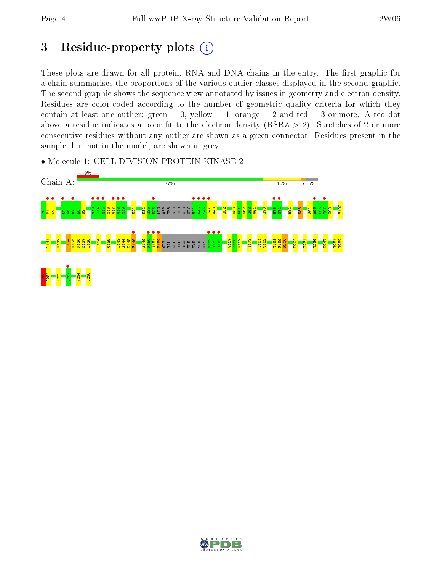## 3 Residue-property plots  $(i)$

These plots are drawn for all protein, RNA and DNA chains in the entry. The first graphic for a chain summarises the proportions of the various outlier classes displayed in the second graphic. The second graphic shows the sequence view annotated by issues in geometry and electron density. Residues are color-coded according to the number of geometric quality criteria for which they contain at least one outlier: green  $= 0$ , yellow  $= 1$ , orange  $= 2$  and red  $= 3$  or more. A red dot above a residue indicates a poor fit to the electron density (RSRZ  $> 2$ ). Stretches of 2 or more consecutive residues without any outlier are shown as a green connector. Residues present in the sample, but not in the model, are shown in grey.

• Molecule 1: CELL DIVISION PROTEIN KINASE 2



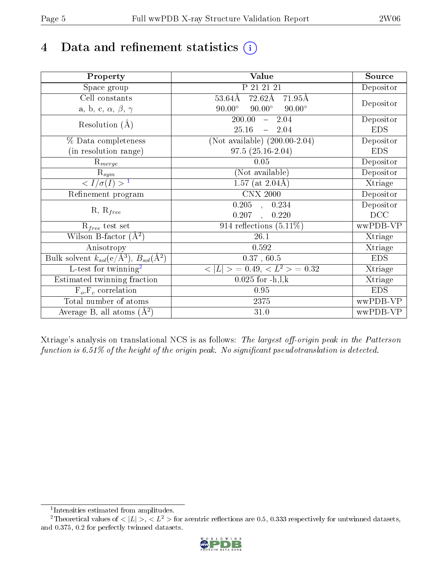# 4 Data and refinement statistics  $(i)$

| Property                                                   | <b>Value</b>                                    | Source     |
|------------------------------------------------------------|-------------------------------------------------|------------|
| Space group                                                | P 21 21 21                                      | Depositor  |
| Cell constants                                             | $72.62\text{\AA}$<br>$53.64\AA$<br>71.95Å       |            |
| a, b, c, $\alpha$ , $\beta$ , $\gamma$                     | $90.00^\circ$<br>$90.00^\circ$<br>$90.00^\circ$ | Depositor  |
| Resolution $(A)$                                           | 200.00<br>$-2.04$                               | Depositor  |
|                                                            | 25.16<br>$-2.04$                                | <b>EDS</b> |
| % Data completeness                                        | $(Not available) (200.00-2.04)$                 | Depositor  |
| (in resolution range)                                      | $97.5(25.16-2.04)$                              | <b>EDS</b> |
| $R_{merge}$                                                | 0.05                                            | Depositor  |
| $\mathrm{R}_{sym}$                                         | (Not available)                                 | Depositor  |
| $\langle I/\sigma(I) \rangle^{-1}$                         | 1.57 (at $2.04\text{\AA}$ )                     | Xtriage    |
| Refinement program                                         | <b>CNX 2000</b>                                 | Depositor  |
|                                                            | $0.205$ , $0.234$                               | Depositor  |
| $R, R_{free}$                                              | 0.207<br>0.220<br>$\ddot{\phantom{a}}$          | DCC        |
| $R_{free}$ test set                                        | 914 reflections $(5.11\%)$                      | wwPDB-VP   |
| Wilson B-factor $(A^2)$                                    | 26.1                                            | Xtriage    |
| Anisotropy                                                 | 0.592                                           | Xtriage    |
| Bulk solvent $k_{sol}$ (e/Å <sup>3</sup> ), $B_{sol}(A^2)$ | $0.37$ , $60.5$                                 | <b>EDS</b> |
| $\overline{L-test for}$ twinning <sup>2</sup>              | $< L >$ = 0.49, $< L2$ = 0.32                   | Xtriage    |
| Estimated twinning fraction                                | $0.025$ for $-h, l, k$                          | Xtriage    |
| $F_o, F_c$ correlation                                     | 0.95                                            | <b>EDS</b> |
| Total number of atoms                                      | 2375                                            | wwPDB-VP   |
| Average B, all atoms $(A^2)$                               | 31.0                                            | wwPDB-VP   |

Xtriage's analysis on translational NCS is as follows: The largest off-origin peak in the Patterson function is  $6.51\%$  of the height of the origin peak. No significant pseudotranslation is detected.

<sup>&</sup>lt;sup>2</sup>Theoretical values of  $\langle |L| \rangle$ ,  $\langle L^2 \rangle$  for acentric reflections are 0.5, 0.333 respectively for untwinned datasets, and 0.375, 0.2 for perfectly twinned datasets.



<span id="page-4-1"></span><span id="page-4-0"></span><sup>1</sup> Intensities estimated from amplitudes.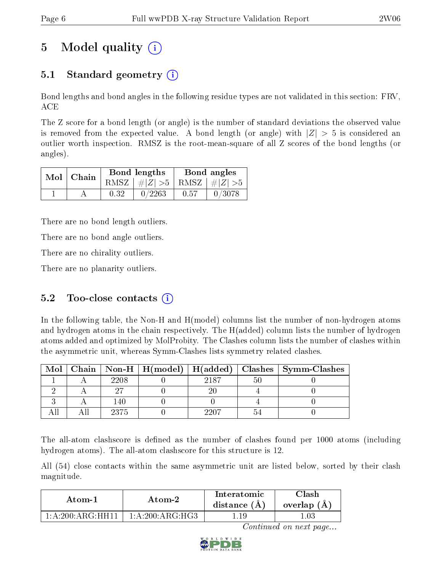# 5 Model quality  $(i)$

## 5.1 Standard geometry (i)

Bond lengths and bond angles in the following residue types are not validated in this section: FRV, ACE

The Z score for a bond length (or angle) is the number of standard deviations the observed value is removed from the expected value. A bond length (or angle) with  $|Z| > 5$  is considered an outlier worth inspection. RMSZ is the root-mean-square of all Z scores of the bond lengths (or angles).

|  | $Mol$   Chain |      | <b>Bond lengths</b>             | Bond angles |        |  |
|--|---------------|------|---------------------------------|-------------|--------|--|
|  |               |      | RMSZ $ #Z  > 5$ RMSZ $ #Z  > 5$ |             |        |  |
|  |               | 0.32 | 0/2263                          | 0.57        | 0/3078 |  |

There are no bond length outliers.

There are no bond angle outliers.

There are no chirality outliers.

There are no planarity outliers.

### 5.2 Too-close contacts  $(i)$

In the following table, the Non-H and H(model) columns list the number of non-hydrogen atoms and hydrogen atoms in the chain respectively. The H(added) column lists the number of hydrogen atoms added and optimized by MolProbity. The Clashes column lists the number of clashes within the asymmetric unit, whereas Symm-Clashes lists symmetry related clashes.

| Mol |      |      | Chain   Non-H   H(model)   H(added)   Clashes   Symm-Clashes |
|-----|------|------|--------------------------------------------------------------|
|     | 2208 | 9187 |                                                              |
|     |      |      |                                                              |
|     | 140  |      |                                                              |
|     | 2375 |      |                                                              |

The all-atom clashscore is defined as the number of clashes found per 1000 atoms (including hydrogen atoms). The all-atom clashscore for this structure is 12.

All (54) close contacts within the same asymmetric unit are listed below, sorted by their clash magnitude.

| Atom-1                                            | Atom-2               | Interatomic<br>distance $(A)$ | Clash<br>overlap (A) |  |
|---------------------------------------------------|----------------------|-------------------------------|----------------------|--|
| $1 \cdot A \cdot 200 \cdot A \cdot G \cdot HH$ 11 | 1: A:200: A R G:H G3 |                               |                      |  |

Continued on next page...

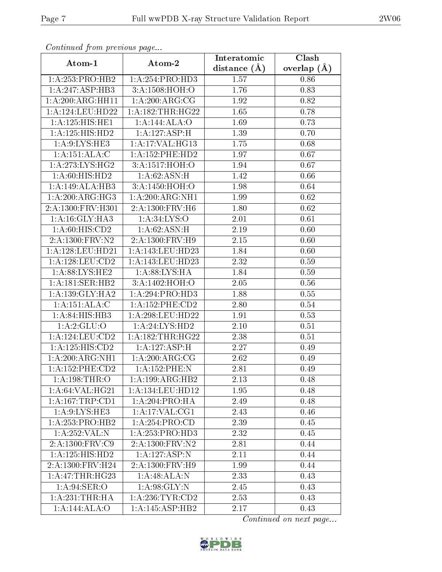| Continuea from previous page               |                                   | Interatomic       | Clash         |  |
|--------------------------------------------|-----------------------------------|-------------------|---------------|--|
| Atom-1                                     | Atom-2                            | distance $(A)$    | overlap $(A)$ |  |
| 1:A:253:PRO:HB2                            | 1: A:254:PRO:HD3                  | 1.57              | 0.86          |  |
| 1:A:247:ASP:HB3                            | 3:A:1508:HOH:O                    | 1.76              | 0.83          |  |
| 1: A:200:ARG:HH11                          | 1:A:200:ARG:CG                    | 1.92              | 0.82          |  |
| 1:A:124:LEU:HD22                           | 1: A: 182: THR: HG22              | 1.65              | 0.78          |  |
| 1:A:125:HIS:HE1                            | 1:A:144:ALA:O                     | 1.69              | 0.73          |  |
| 1:A:125:HIS:HD2                            | 1:A:127:ASP:H                     | 1.39              | 0.70          |  |
| 1: A:9: LYS: HE3                           | 1:A:17:VAL:HG13                   | 1.75              | 0.68          |  |
| 1:A:151:ALA:C                              | $1:$ A:152:PHE:HD2                | 1.97              | 0.67          |  |
| 1: A:273: LYS:HG2                          | 3:A:1517:HOH:O                    | 1.94              | 0.67          |  |
| 1:A:60:HIS:HD2                             | 1: A:62: ASN:H                    | 1.42              | 0.66          |  |
| 1:A:149:ALA:HB3                            | 3:A:1450:HOH:O                    | 1.98              | 0.64          |  |
| 1:A:200:ARG:HG3                            | 1:A:200:ARG:NH1                   | 1.99              | 0.62          |  |
| 2:A:1300:FRV:H301                          | 2:A:1300:FRV:H6                   | 1.80              | 0.62          |  |
| 1: A:16: GLY: HA3                          | $1: A:34:\overline{\text{LYS:O}}$ | 2.01              | 0.61          |  |
| 1:A:60:HIS:CD2                             | 1: A:62: ASN:H                    | 2.19              | 0.60          |  |
| 2: A: 1300: FRV: N2                        | 2:A:1300:FRV:H9                   | 2.15              | 0.60          |  |
| 1: A: 128: LEU: HD21                       | 1:A:143:LEU:HD23                  | 1.84              | 0.60          |  |
| 1: A: 128: LEU: CD2                        | 1:A:143:LEU:HD23                  | 2.32              | 0.59          |  |
| $1: A:88:\overline{\text{LYS}:\text{HE2}}$ | 1: A:88: LYS: HA                  | 1.84              | 0.59          |  |
| 1:A:181:SER:HB2                            | 3:A:1402:HOH:O                    | 2.05              | 0.56          |  |
| 1: A: 139: GLY: HA2                        | 1:A:294:PRO:HD3                   | 1.88              | 0.55          |  |
| 1:A:151:ALA:C                              | 1:A:152:PHE:CD2                   | 2.80              | 0.54          |  |
| 1:A:84:HIS:HB3                             | 1:A:298:LEU:HD22                  | 1.91              | 0.53          |  |
| 1:A:2:GLU:O                                | 1:A:24:LYS:HD2                    | 2.10              | 0.51          |  |
| 1:A:124:LEU:CD2                            | 1:A:182:THR:HG22                  | 2.38              | 0.51          |  |
| 1:A:125:HIS:CD2                            | 1:A:127:ASP:H                     | $\overline{2.27}$ | 0.49          |  |
| 1: A:200:ARG:NH1                           | 1:A:200:ARG:CG                    | 2.62              | 0.49          |  |
| 1:A:152:PHE:CD2                            | 1:A:152:PHE:N                     | 2.81              | 0.49          |  |
| 1:A:198:THR:O                              | 1:A:199:ARG:HB2                   | 2.13              | 0.48          |  |
| 1: A:64:VAL:HG21                           | 1:A:134:LEU:HD12                  | 1.95              | 0.48          |  |
| 1:A:167:TRP:CD1                            | 1:A:204:PRO:HA                    | 2.49              | 0.48          |  |
| 1: A:9: LYS: HE3                           | 1: A:17: VAL:CG1                  | 2.43              | 0.46          |  |
| 1:A:253:PRO:HB2                            | 1:A:254:PRO:CD                    | 2.39              | 0.45          |  |
| 1: A:252:VAL: N                            | 1:A:253:PRO:HD3                   | 2.32              | 0.45          |  |
| 2:A:1300:FRV:C9                            | 2: A: 1300: FRV: N2               | 2.81              | 0.44          |  |
| 1:A:125:HIS:HD2                            | 1:A:127:ASP:N                     | 2.11              | 0.44          |  |
| 2:A:1300:FRV:H24                           | 2:A:1300:FRV:H9                   | 1.99              | 0.44          |  |
| 1: A:47:THR:HG23                           | 1:A:48:ALA:N                      | 2.33              | 0.43          |  |
| 1: A:94: SER:O                             | 1: A:98: GLY:N                    | 2.45              | 0.43          |  |
| 1: A:231:THR:HA                            | 1: A:236:TYR:CD2                  | 2.53              | 0.43          |  |
| 1:A:144:ALA:O                              | 1:A:145:ASP:HB2                   | 2.17              | 0.43          |  |

Continued from previous page.

Continued on next page...

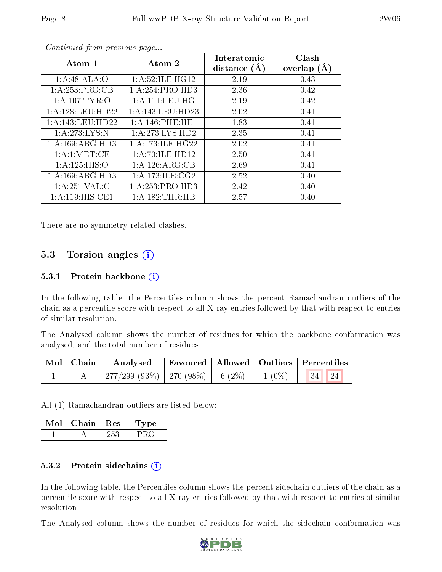| Atom-1               | Atom-2                 | Interatomic<br>distance $(A)$ | Clash<br>overlap $(A)$ |
|----------------------|------------------------|-------------------------------|------------------------|
| 1:A:48:ALA:O         | 1: A:52: ILE: HG12     | 2.19                          | 0.43                   |
| 1:A:253:PRO:CB       | 1: A:254:PRO:HD3       | 2.36                          | 0.42                   |
| 1: A:107: TYR:O      | 1: A: 111: LEU: HG     | 2.19                          | 0.42                   |
| 1: A: 128: LEU: HD22 | 1: A:143:LEU:HD23      | 2.02                          | 0.41                   |
| 1:A:143:LEU:HD22     | $1: A:146:$ PHE:HE $1$ | 1.83                          | 0.41                   |
| 1:A:273:LYS:N        | 1:A:273:LYS:HD2        | 2.35                          | 0.41                   |
| 1:A:169:ARG:HD3      | 1: A:173: ILE: HG22    | 2.02                          | 0.41                   |
| 1: A:1: MET:CE       | 1:A:70:ILE:HD12        | 2.50                          | 0.41                   |
| 1: A: 125: HIS: O    | 1:A:126:ARG:CB         | 2.69                          | 0.41                   |
| 1:A:169:ARG:HD3      | 1: A:173: ILE: CG2     | 2.52                          | 0.40                   |
| 1: A:251:VAL: C      | 1:A:253:PRO:HD3        | 2.42                          | 0.40                   |
| 1:A:119:HIS:CE1      | 1:A:182:THR:HB         | 2.57                          | 0.40                   |

Continued from previous page...

There are no symmetry-related clashes.

#### 5.3 Torsion angles  $(i)$

#### 5.3.1 Protein backbone  $(i)$

In the following table, the Percentiles column shows the percent Ramachandran outliers of the chain as a percentile score with respect to all X-ray entries followed by that with respect to entries of similar resolution.

The Analysed column shows the number of residues for which the backbone conformation was analysed, and the total number of residues.

| Mol   Chain | Analysed Favoured   Allowed   Outliers   Percentiles                           |  |  |
|-------------|--------------------------------------------------------------------------------|--|--|
|             | $\mid$ 277/299 (93%) $\mid$ 270 (98%) $\mid$ 6 (2%) $\mid$ 1 (0%) $\mid$ 34 24 |  |  |

All (1) Ramachandran outliers are listed below:

| Mol | Chain | $+$ Res $+$ | 'Type |
|-----|-------|-------------|-------|
|     |       | 252         |       |

#### 5.3.2 Protein sidechains  $(i)$

In the following table, the Percentiles column shows the percent sidechain outliers of the chain as a percentile score with respect to all X-ray entries followed by that with respect to entries of similar resolution.

The Analysed column shows the number of residues for which the sidechain conformation was

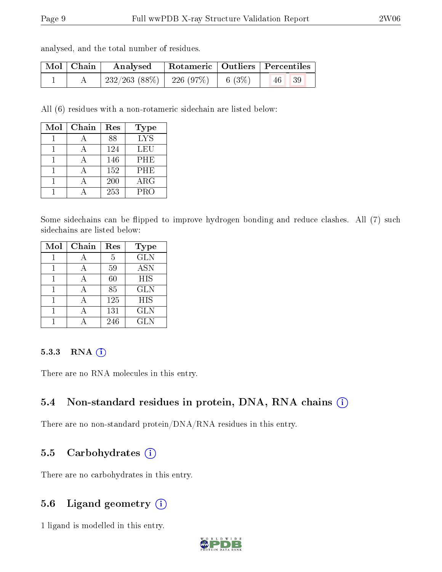analysed, and the total number of residues.

| Mol   Chain | $\boldsymbol{\mathrm{Analysed}}$                                                                         | Rotameric   Outliers   Percentiles |  |           |  |
|-------------|----------------------------------------------------------------------------------------------------------|------------------------------------|--|-----------|--|
|             | $\begin{array}{ c c c c c c c c } \hline 232/263 & (88\%) & 226 & (97\%) & 6 & (3\%) \hline \end{array}$ |                                    |  | -39<br>46 |  |

All (6) residues with a non-rotameric sidechain are listed below:

| Mol | Chain | Res | <b>Type</b>             |
|-----|-------|-----|-------------------------|
|     |       | 88  | $\overline{\text{LYS}}$ |
|     |       | 124 | LEU                     |
|     |       | 146 | PHE                     |
|     |       | 152 | <b>PHE</b>              |
|     |       | 200 | $\rm{ARG}$              |
|     |       | 253 | <b>PRO</b>              |

Some sidechains can be flipped to improve hydrogen bonding and reduce clashes. All (7) such sidechains are listed below:

| Mol | Chain | Res | <b>Type</b> |
|-----|-------|-----|-------------|
|     |       | 5   | <b>GLN</b>  |
|     |       | 59  | <b>ASN</b>  |
|     |       | 60  | <b>HIS</b>  |
|     |       | 85  | <b>GLN</b>  |
|     |       | 125 | <b>HIS</b>  |
|     |       | 131 | <b>GLN</b>  |
|     |       | 246 | GLN         |

#### 5.3.3 RNA [O](https://www.wwpdb.org/validation/2017/XrayValidationReportHelp#rna)i

There are no RNA molecules in this entry.

#### 5.4 Non-standard residues in protein, DNA, RNA chains (i)

There are no non-standard protein/DNA/RNA residues in this entry.

#### 5.5 Carbohydrates  $(i)$

There are no carbohydrates in this entry.

#### 5.6 Ligand geometry (i)

1 ligand is modelled in this entry.

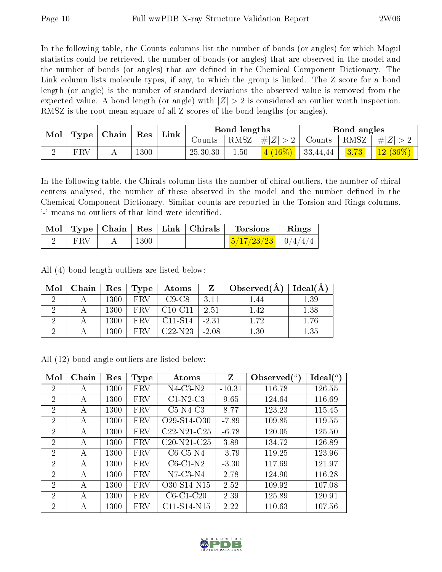In the following table, the Counts columns list the number of bonds (or angles) for which Mogul statistics could be retrieved, the number of bonds (or angles) that are observed in the model and the number of bonds (or angles) that are dened in the Chemical Component Dictionary. The Link column lists molecule types, if any, to which the group is linked. The Z score for a bond length (or angle) is the number of standard deviations the observed value is removed from the expected value. A bond length (or angle) with  $|Z| > 2$  is considered an outlier worth inspection. RMSZ is the root-mean-square of all Z scores of the bond lengths (or angles).

| Mol | Type | $\mid$ Chain $\mid$ | $^{\shortmid}$ Res | Link |          | Bond lengths     |         |          | Bond angles |                            |
|-----|------|---------------------|--------------------|------|----------|------------------|---------|----------|-------------|----------------------------|
|     |      |                     |                    |      | Counts   | $RMSZ \mid # Z $ |         | Counts   | RMSZ        | $\pm  Z $                  |
|     | FRV  |                     | 1300               |      | 25,30,30 | 1.50             | $16\%)$ | 33,44,44 | 3.73        | , $12$ $(36\%)$ $^{\circ}$ |

In the following table, the Chirals column lists the number of chiral outliers, the number of chiral centers analysed, the number of these observed in the model and the number defined in the Chemical Component Dictionary. Similar counts are reported in the Torsion and Rings columns. '-' means no outliers of that kind were identified.

|     |      |        | $\vert$ Mol $\vert$ Type $\vert$ Chain $\vert$ Res $\vert$ Link $\vert$ Chirals $\vert$ | Torsions                         | Rings |
|-----|------|--------|-----------------------------------------------------------------------------------------|----------------------------------|-------|
| FRV | 1300 | $\sim$ | $\sim$                                                                                  | $\frac{1}{2}$ 5/17/23/23 0/4/4/4 |       |

All (4) bond length outliers are listed below:

| Mol | Chain | Res  | Type       | Atoms                            |         | Observed(A) | Ideal(A) |
|-----|-------|------|------------|----------------------------------|---------|-------------|----------|
|     |       | 1300 | <b>FRV</b> | $C9-C8$                          | 3.11    | l 44        | 1.39     |
|     |       | 1300 | FRV        | $C10-C11$                        | 2.51    | 1.42        | 1.38     |
|     |       | 1300 | <b>FRV</b> | C <sub>11</sub> -S <sub>14</sub> | $-2.31$ | 1.72        | 1.76     |
|     |       | 1300 | FRV        | $C22-N23$                        | $-2.08$ | 1.30        | 1.35     |

All (12) bond angle outliers are listed below:

| Mol            | Chain | Res  | Type       | Atoms                                             | Z        | Observed $\binom{o}{c}$ | Ideal $({}^{\circ})$ |
|----------------|-------|------|------------|---------------------------------------------------|----------|-------------------------|----------------------|
| $\overline{2}$ | А     | 1300 | FRV        | $N4$ -C3- $N2$                                    | $-10.31$ | 116.78                  | 126.55               |
| $\overline{2}$ | А     | 1300 | FRV        | $C1-N2-C3$                                        | 9.65     | 124.64                  | 116.69               |
| $\overline{2}$ | A     | 1300 | <b>FRV</b> | $C5-N4-C3$                                        | 8.77     | 123.23                  | 115.45               |
| $\overline{2}$ | А     | 1300 | FRV        | O <sub>29</sub> -S <sub>14</sub> -O <sub>30</sub> | $-7.89$  | 109.85                  | 119.55               |
| $\overline{2}$ | А     | 1300 | FRV        | $C22-N21-C25$                                     | $-6.78$  | 120.05                  | 125.50               |
| $\overline{2}$ | А     | 1300 | FRV        | $C20-N21-C25$                                     | 3.89     | 134.72                  | 126.89               |
| $\overline{2}$ | А     | 1300 | <b>FRV</b> | $C6-C5-N4$                                        | $-3.79$  | 119.25                  | 123.96               |
| $\overline{2}$ | А     | 1300 | <b>FRV</b> | $C6-C1-N2$                                        | $-3.30$  | 117.69                  | 121.97               |
| $\overline{2}$ | A     | 1300 | <b>FRV</b> | $N7-C3-N4$                                        | 2.78     | 124.90                  | 116.28               |
| 2              | A     | 1300 | <b>FRV</b> | O30-S14-N15                                       | 2.52     | 109.92                  | 107.08               |
| $\overline{2}$ | А     | 1300 | <b>FRV</b> | $C6-C1-C20$                                       | 2.39     | 125.89                  | 120.91               |
| 2              | А     | 1300 | FRV        | $C11-S14-N15$                                     | 2.22     | 110.63                  | 107.56               |

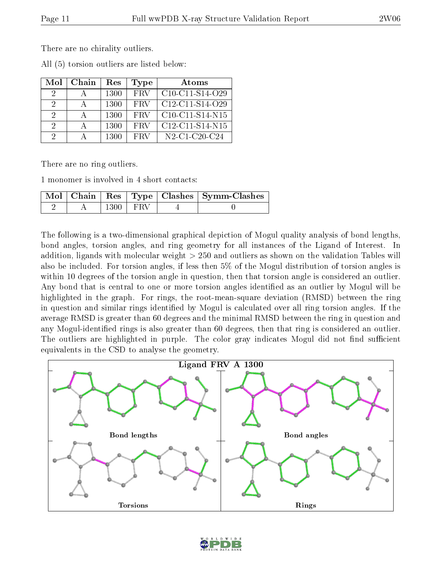There are no chirality outliers.

|  |  | All (5) torsion outliers are listed below: |  |  |  |  |
|--|--|--------------------------------------------|--|--|--|--|
|--|--|--------------------------------------------|--|--|--|--|

| Mol | Chain | Res  | <b>Type</b> | Atoms                                                  |
|-----|-------|------|-------------|--------------------------------------------------------|
| 9   |       | 1300 | <b>FRV</b>  | $C10-C11-S14-C29$                                      |
| -9  |       | 1300 | <b>FRV</b>  | $C12-C11-S14-O29$                                      |
| 2   |       | 1300 | <b>FRV</b>  | $C10-C11-S14-N15$                                      |
| 2   |       | 1300 | <b>FRV</b>  | $C12-C11-S14-N15$                                      |
| 9   |       | 1300 | <b>FRV</b>  | $N2$ -C <sub>1</sub> -C <sub>20</sub> -C <sub>24</sub> |

There are no ring outliers.

1 monomer is involved in 4 short contacts:

|  |              | Mol   Chain   Res   Type   Clashes   Symm-Clashes |
|--|--------------|---------------------------------------------------|
|  | $1300 + FRV$ |                                                   |

The following is a two-dimensional graphical depiction of Mogul quality analysis of bond lengths, bond angles, torsion angles, and ring geometry for all instances of the Ligand of Interest. In addition, ligands with molecular weight > 250 and outliers as shown on the validation Tables will also be included. For torsion angles, if less then 5% of the Mogul distribution of torsion angles is within 10 degrees of the torsion angle in question, then that torsion angle is considered an outlier. Any bond that is central to one or more torsion angles identified as an outlier by Mogul will be highlighted in the graph. For rings, the root-mean-square deviation (RMSD) between the ring in question and similar rings identified by Mogul is calculated over all ring torsion angles. If the average RMSD is greater than 60 degrees and the minimal RMSD between the ring in question and any Mogul-identified rings is also greater than 60 degrees, then that ring is considered an outlier. The outliers are highlighted in purple. The color gray indicates Mogul did not find sufficient equivalents in the CSD to analyse the geometry.



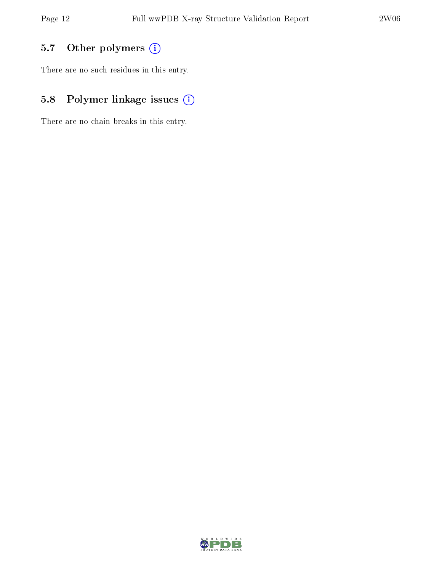## 5.7 [O](https://www.wwpdb.org/validation/2017/XrayValidationReportHelp#nonstandard_residues_and_ligands)ther polymers (i)

There are no such residues in this entry.

## 5.8 Polymer linkage issues (i)

There are no chain breaks in this entry.

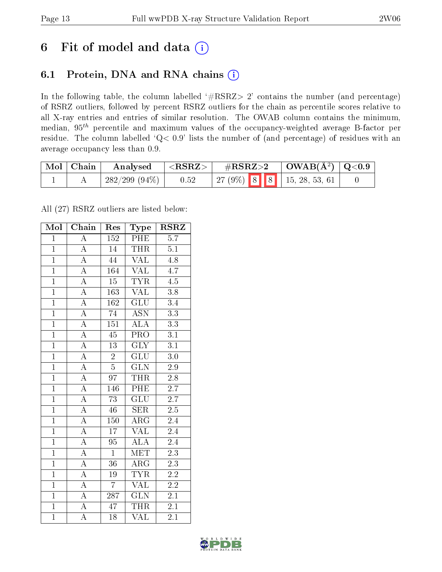## 6 Fit of model and data  $(i)$

### 6.1 Protein, DNA and RNA chains  $(i)$

In the following table, the column labelled  $#RSRZ> 2'$  contains the number (and percentage) of RSRZ outliers, followed by percent RSRZ outliers for the chain as percentile scores relative to all X-ray entries and entries of similar resolution. The OWAB column contains the minimum, median,  $95<sup>th</sup>$  percentile and maximum values of the occupancy-weighted average B-factor per residue. The column labelled ' $Q< 0.9$ ' lists the number of (and percentage) of residues with an average occupancy less than 0.9.

| $\mid$ Mol $\mid$ Chain | Analysed        | ${ <\hspace{-1.5pt}{\mathrm{RSRZ}} \hspace{-1.5pt}>}$ | $\#\text{RSRZ}{>}2$ |  | $\mid$ OWAB(Å <sup>2</sup> ) $\mid$ Q<0.9 |  |
|-------------------------|-----------------|-------------------------------------------------------|---------------------|--|-------------------------------------------|--|
|                         | $282/299(94\%)$ | 0.52                                                  |                     |  | $\mid$ 27 (9%) 8 8 1 15, 28, 53, 61       |  |

All (27) RSRZ outliers are listed below:

| Mol            | Chain              | Res              | Type                      | $\overline{\text{RSR}}$ |
|----------------|--------------------|------------------|---------------------------|-------------------------|
| $\mathbf{1}$   | $\overline{\rm A}$ | 152              | PHE                       | $\overline{5.7}$        |
| $\overline{1}$ | $\overline{\rm A}$ | $\overline{14}$  | <b>THR</b>                | $\overline{5.1}$        |
| $\overline{1}$ | $\overline{A}$     | 44               | $\overline{\text{VAL}}$   | 4.8                     |
| $\overline{1}$ | $\overline{A}$     | 164              | <b>VAL</b>                | $\overline{4.7}$        |
| $\overline{1}$ | $\overline{\rm A}$ | $\overline{15}$  | <b>TYR</b>                | $\overline{4.5}$        |
| $\overline{1}$ | $\overline{\rm A}$ | 163              | <b>VAL</b>                | $\overline{3.8}$        |
| $\overline{1}$ | $\overline{\rm A}$ | 162              | GLU                       | 3.4                     |
| $\overline{1}$ | $\overline{A}$     | 74               | $\overline{ASN}$          | $\overline{3.3}$        |
| $\overline{1}$ | $\overline{A}$     | 151              | $\overline{\text{ALA}}$   | $\overline{3.3}$        |
| $\overline{1}$ | $\overline{A}$     | $\overline{45}$  | $\overline{\text{PRO}}$   | $\overline{3.1}$        |
| $\mathbf{1}$   | $\overline{\rm A}$ | 13               | $\overline{\text{GLY}}$   | $\overline{3.1}$        |
| $\overline{1}$ | $\overline{\rm A}$ | $\overline{2}$   | $\overline{\mathrm{GLU}}$ | $\overline{3.0}$        |
| $\overline{1}$ | $\overline{\rm A}$ | $\overline{5}$   | $\overline{\text{GLN}}$   | 2.9                     |
| $\overline{1}$ | $\overline{\rm A}$ | 97               | <b>THR</b>                | $\overline{2.8}$        |
| $\overline{1}$ | $\overline{A}$     | 146              | PHE                       | $\overline{2.7}$        |
| $\overline{1}$ | $\overline{A}$     | $\overline{73}$  | $\overline{\text{GLU}}$   | $\overline{2.7}$        |
| $\overline{1}$ | $\overline{A}$     | $\overline{46}$  | $\overline{\text{SER}}$   | $2.\overline{5}$        |
| $\mathbf{1}$   | $\overline{A}$     | 150              | $\overline{\rm{ARG}}$     | 2.4                     |
| $\mathbf{1}$   | $\overline{\rm A}$ | $\overline{17}$  | $\rm \sqrt{AL}$           | 2.4                     |
| $\overline{1}$ | $\overline{\rm A}$ | $\overline{95}$  | ALA                       | $\overline{2.4}$        |
| $\overline{1}$ | $\overline{\rm A}$ | $\overline{1}$   | <b>MET</b>                | 2.3                     |
| $\overline{1}$ | $\overline{\rm A}$ | $\overline{36}$  | $\overline{\rm{ARG}}$     | $\overline{2.3}$        |
| $\overline{1}$ | $\overline{\rm A}$ | 19               | $\overline{\text{TYR}}$   | $\overline{2.2}$        |
| $\overline{1}$ | $\overline{\rm A}$ | $\overline{7}$   | $\overline{\text{VAL}}$   | $\overline{2.2}$        |
| $\overline{1}$ | $\overline{\rm A}$ | $\overline{287}$ | GLN                       | $\overline{2.1}$        |
| $\overline{1}$ | $\overline{\rm A}$ | 47               | <b>THR</b>                | 2.1                     |
| $\mathbf{1}$   | $\overline{\rm A}$ | 18               | $\overline{\text{VAL}}$   | 2.1                     |

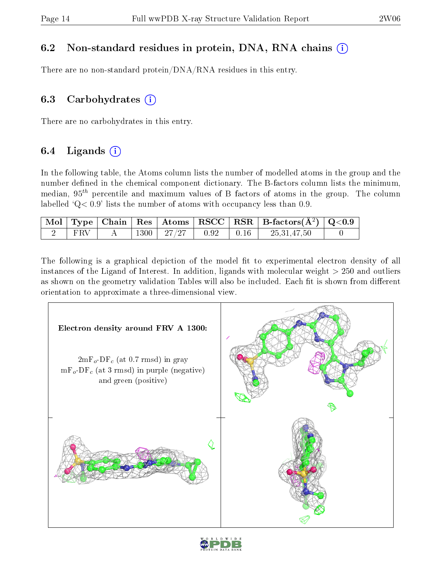### 6.2 Non-standard residues in protein, DNA, RNA chains (i)

There are no non-standard protein/DNA/RNA residues in this entry.

### 6.3 Carbohydrates  $(i)$

There are no carbohydrates in this entry.

### 6.4 Ligands  $(i)$

In the following table, the Atoms column lists the number of modelled atoms in the group and the number defined in the chemical component dictionary. The B-factors column lists the minimum, median,  $95<sup>th</sup>$  percentile and maximum values of B factors of atoms in the group. The column labelled  $Q < 0.9$ ' lists the number of atoms with occupancy less than 0.9.

|     |  |                              |  | $\mid$ Mol $\mid$ Type $\mid$ Chain $\mid$ Res $\mid$ Atoms $\mid$ RSCC $\mid$ RSR $\mid$ B-factors(A <sup>2</sup> ) $\mid$ Q<0.9 $\mid$ |  |
|-----|--|------------------------------|--|------------------------------------------------------------------------------------------------------------------------------------------|--|
| FRV |  | $1300$   27/27   0.92   0.16 |  | 25, 31, 47, 50                                                                                                                           |  |

The following is a graphical depiction of the model fit to experimental electron density of all instances of the Ligand of Interest. In addition, ligands with molecular weight  $> 250$  and outliers as shown on the geometry validation Tables will also be included. Each fit is shown from different orientation to approximate a three-dimensional view.